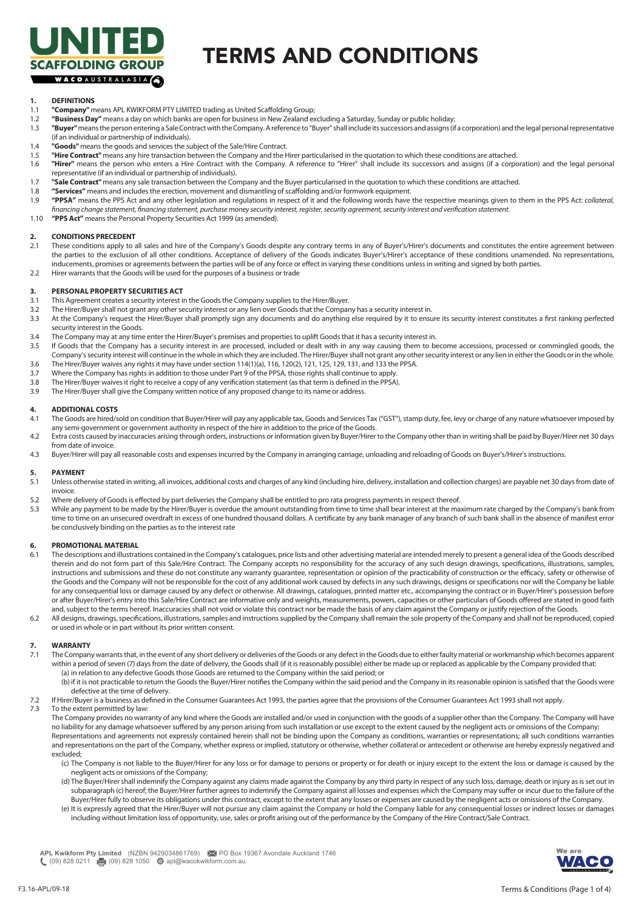

# TERMS AND CONDITIONS

# **1. DEFINITIONS**

- 1.1 **"Company"** means APL KWIKFORM PTY LIMITED trading as United Scaffolding Group;
- 1.2 **"Business Day"** means a day on which banks are open for business in New Zealand excluding a Saturday, Sunday or public holiday;<br>1.3 Puyer" means the person entering a Sale Contract with the Company. A reference to "Bu
- 1.3 **"Buyer"** means the person entering a Sale Contract with the Company. A reference to "Buyer" shall include its successors and assigns (if a corporation) and the legal personal representative (if an individual or partnership of individuals).
- 1.4 **"Goods"** means the goods and services the subject of the Sale/Hire Contract.
- 1.5 **"Hire Contract"** means any hire transaction between the Company and the Hirer particularised in the quotation to which these conditions are attached.
- 1.6 **"Hirer"** means the person who enters a Hire Contract with the Company. A reference to "Hirer" shall include its successors and assigns (if a corporation) and the legal personal representative (if an individual or partnership of individuals).
- 1.7 **"Sale Contract"** means any sale transaction between the Company and the Buyer particularised in the quotation to which these conditions are attached.<br>18 **"Services"** means and includes the erection, movement and disma
- 1.8 **"Services"** means and includes the erection, movement and dismantling of scaffolding and/or formwork equipment.
- 1.9 **"PPSA"** means the PPS Act and any other legislation and regulations in respect of it and the following words have the respective meanings given to them in the PPS Act: *collateral, financing change statement, financing statement, purchase money security interest, register, security agreement, security interest and verification statement*.
- 1.10 **"PPS Act"** means the Personal Property Securities Act 1999 (as amended).

# **2. CONDITIONS PRECEDENT**

- 2.1 These conditions apply to all sales and hire of the Company's Goods despite any contrary terms in any of Buyer's/Hirer's documents and constitutes the entire agreement between the parties to the exclusion of all other conditions. Acceptance of delivery of the Goods indicates Buyer's/Hirer's acceptance of these conditions unamended. No representations, inducements, promises or agreements between the parties will be of any force or effect in varying these conditions unless in writing and signed by both parties.
- 2.2 Hirer warrants that the Goods will be used for the purposes of a business or trade

# **3. PERSONAL PROPERTY SECURITIES ACT**<br>**3.1** This Agreement creates a security interest i

- This Agreement creates a security interest in the Goods the Company supplies to the Hirer/Buyer.
- 3.2 The Hirer/Buyer shall not grant any other security interest or any lien over Goods that the Company has a security interest in.<br>3.3 At the Company's request the Hirer/Buyer shall promptly sign any documents and do anyt
- At the Company's request the Hirer/Buyer shall promptly sign any documents and do anything else required by it to ensure its security interest constitutes a first ranking perfected security interest in the Goods.
- 3.4 The Company may at any time enter the Hirer/Buyer's premises and properties to uplift Goods that it has a security interest in.
- 3.5 If Goods that the Company has a security interest in are processed, included or dealt with in any way causing them to become accessions, processed or commingled goods, the Company's security interest will continue in the whole in which they are included. The Hirer/Buyer shall not grant any other security interest or any lien in either the Goods or in the whole.
- 3.6 The Hirer/Buyer waives any rights it may have under section 114(1)(a), 116, 120(2), 121, 125, 129, 131, and 133 the PPSA.
- 3.7 Where the Company has rights in addition to those under Part 9 of the PPSA, those rights shall continue to apply.<br>3.8 The Hirer/Buver waives it right to receive a copy of any verification statement (as that term is def The Hirer/Buyer waives it right to receive a copy of any verification statement (as that term is defined in the PPSA).
- 3.9 The Hirer/Buyer shall give the Company written notice of any proposed change to its name or address.

# **4. ADDITIONAL COSTS**

- The Goods are hired/sold on condition that Buyer/Hirer will pay any applicable tax, Goods and Services Tax ("GST"), stamp duty, fee, levy or charge of any nature whatsoever imposed by any semi-government or government authority in respect of the hire in addition to the price of the Goods.
- 4.2 Extra costs caused by inaccuracies arising through orders, instructions or information given by Buyer/Hirer to the Company other than in writing shall be paid by Buyer/Hirer net 30 days from date of invoice.
- 4.3 Buyer/Hirer will pay all reasonable costs and expenses incurred by the Company in arranging carriage, unloading and reloading of Goods on Buyer's/Hirer's instructions.

# **5. PAYMENT**

- 5.1 Unless otherwise stated in writing, all invoices, additional costs and charges of any kind (including hire, delivery, installation and collection charges) are payable net 30 days from date of invoice.
- 5.2 Where delivery of Goods is effected by part deliveries the Company shall be entitled to pro rata progress payments in respect thereof.
- 5.3 While any payment to be made by the Hirer/Buyer is overdue the amount outstanding from time to time shall bear interest at the maximum rate charged by the Company's bank from time to time on an unsecured overdraft in excess of one hundred thousand dollars. A certificate by any bank manager of any branch of such bank shall in the absence of manifest error be conclusively binding on the parties as to the interest rate

# **6. PROMOTIONAL MATERIAL**

- 6.1 The descriptions and illustrations contained in the Company's catalogues, price lists and other advertising material are intended merely to present a general idea of the Goods described therein and do not form part of this Sale/Hire Contract. The Company accepts no responsibility for the accuracy of any such design drawings, specifications, illustrations, samples, instructions and submissions and these do not constitute any warranty guarantee, representation or opinion of the practicability of construction or the efficacy, safety or otherwise of the Goods and the Company will not be responsible for the cost of any additional work caused by defects in any such drawings, designs or specifications nor will the Company be liable for any consequential loss or damage caused by any defect or otherwise. All drawings, catalogues, printed matter etc., accompanying the contract or in Buyer/Hirer's possession before or after Buyer/Hirer's entry into this Sale/Hire Contract are informative only and weights, measurements, powers, capacities or other particulars of Goods offered are stated in good faith and, subject to the terms hereof. Inaccuracies shall not void or violate this contract nor be made the basis of any claim against the Company or justify rejection of the Goods.
- 6.2 All designs, drawings, specifications, illustrations, samples and instructions supplied by the Company shall remain the sole property of the Company and shall not be reproduced, copied or used in whole or in part without its prior written consent.

# **7. WARRANTY**

- 7.1 The Company warrants that, in the event of any short delivery or deliveries of the Goods or any defect in the Goods due to either faulty material or workmanship which becomes apparent within a period of seven (7) days from the date of delivery, the Goods shall (if it is reasonably possible) either be made up or replaced as applicable by the Company provided that: (a) in relation to any defective Goods those Goods are returned to the Company within the said period; or
	- (b) if it is not practicable to return the Goods the Buyer/Hirer notifies the Company within the said period and the Company in its reasonable opinion is satisfied that the Goods were defective at the time of delivery.
- 7.2 If Hirer/Buyer is a business as defined in the Consumer Guarantees Act 1993, the parties agree that the provisions of the Consumer Guarantees Act 1993 shall not apply.

7.3 To the extent permitted by law:

The Company provides no warranty of any kind where the Goods are installed and/or used in conjunction with the goods of a supplier other than the Company. The Company will have no liability for any damage whatsoever suffered by any person arising from such installation or use except to the extent caused by the negligent acts or omissions of the Company; Representations and agreements not expressly contained herein shall not be binding upon the Company as conditions, warranties or representations; all such conditions warranties and representations on the part of the Company, whether express or implied, statutory or otherwise, whether collateral or antecedent or otherwise are hereby expressly negatived and excluded;

- (c) The Company is not liable to the Buyer/Hirer for any loss or for damage to persons or property or for death or injury except to the extent the loss or damage is caused by the negligent acts or omissions of the Company;
- (d) The Buyer/Hirer shall indemnify the Company against any claims made against the Company by any third party in respect of any such loss, damage, death or injury as is set out in subparagraph (c) hereof; the Buyer/Hirer further agrees to indemnify the Company against all losses and expenses which the Company may suffer or incur due to the failure of the Buyer/Hirer fully to observe its obligations under this contract, except to the extent that any losses or expenses are caused by the negligent acts or omissions of the Company.
- (e) It is expressly agreed that the Hirer/Buyer will not pursue any claim against the Company or hold the Company liable for any consequential losses or indirect losses or damages including without limitation loss of opportunity, use, sales or profit arising out of the performance by the Company of the Hire Contract/Sale Contract.

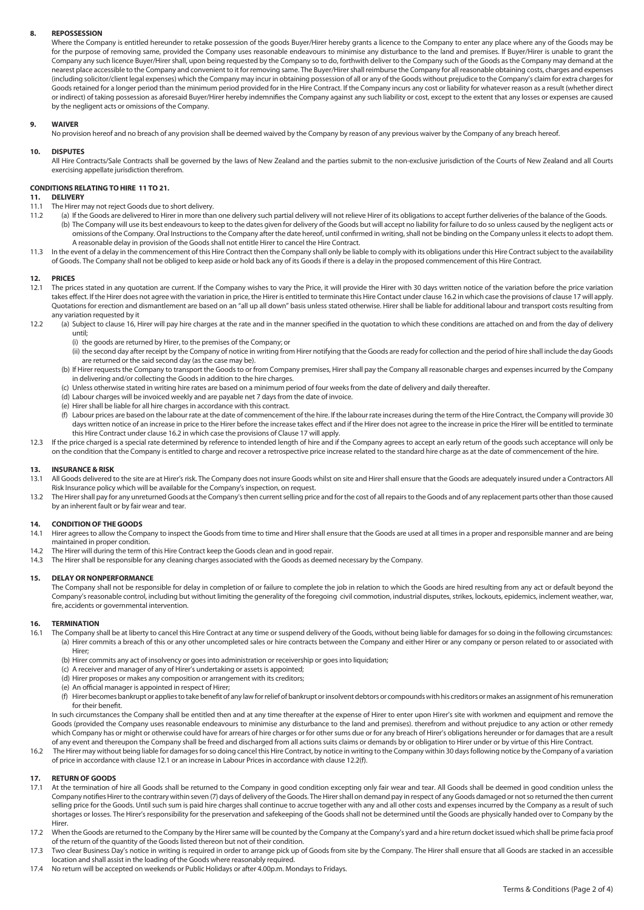# **8. REPOSSESSION**

Where the Company is entitled hereunder to retake possession of the goods Buyer/Hirer hereby grants a licence to the Company to enter any place where any of the Goods may be for the purpose of removing same, provided the Company uses reasonable endeavours to minimise any disturbance to the land and premises. If Buyer/Hirer is unable to grant the Company any such licence Buyer/Hirer shall, upon being requested by the Company so to do, forthwith deliver to the Company such of the Goods as the Company may demand at the nearest place accessible to the Company and convenient to it for removing same. The Buyer/Hirer shall reimburse the Company for all reasonable obtaining costs, charges and expenses (including solicitor/client legal expenses) which the Company may incur in obtaining possession of all or any of the Goods without prejudice to the Company's claim for extra charges for Goods retained for a longer period than the minimum period provided for in the Hire Contract. If the Company incurs any cost or liability for whatever reason as a result (whether direct or indirect) of taking possession as aforesaid Buyer/Hirer hereby indemnifies the Company against any such liability or cost, except to the extent that any losses or expenses are caused by the negligent acts or omissions of the Company.

#### **9. WAIVER**

No provision hereof and no breach of any provision shall be deemed waived by the Company by reason of any previous waiver by the Company of any breach hereof.

#### **10. DISPUTES**

All Hire Contracts/Sale Contracts shall be governed by the laws of New Zealand and the parties submit to the non-exclusive jurisdiction of the Courts of New Zealand and all Courts exercising appellate jurisdiction therefrom.

# **CONDITIONS RELATING TO HIRE 11 TO 21.**

# **11. DELIVERY**

- 11.1 The Hirer may not reject Goods due to short delivery.
- 11.2 (a) If the Goods are delivered to Hirer in more than one delivery such partial delivery will not relieve Hirer of its obligations to accept further deliveries of the balance of the Goods. (b) The Company will use its best endeavours to keep to the dates given for delivery of the Goods but will accept no liability for failure to do so unless caused by the negligent acts or omissions of the Company. Oral Instructions to the Company after the date hereof, until confirmed in writing, shall not be binding on the Company unless it elects to adopt them. A reasonable delay in provision of the Goods shall not entitle Hirer to cancel the Hire Contract.
- 11.3 In the event of a delay in the commencement of this Hire Contract then the Company shall only be liable to comply with its obligations under this Hire Contract subject to the availability of Goods. The Company shall not be obliged to keep aside or hold back any of its Goods if there is a delay in the proposed commencement of this Hire Contract.

# **12. PRICES**

- 12.1 The prices stated in any quotation are current. If the Company wishes to vary the Price, it will provide the Hirer with 30 days written notice of the variation before the price variation takes effect. If the Hirer does not agree with the variation in price, the Hirer is entitled to terminate this Hire Contact under clause 16.2 in which case the provisions of clause 17 will apply. Quotations for erection and dismantlement are based on an "all up all down" basis unless stated otherwise. Hirer shall be liable for additional labour and transport costs resulting from any variation requested by it
- 12.2 (a) Subject to clause 16, Hirer will pay hire charges at the rate and in the manner specified in the quotation to which these conditions are attached on and from the day of delivery until;
	- (i) the goods are returned by Hirer, to the premises of the Company; or
	- (ii) the second day after receipt by the Company of notice in writing from Hirer notifying that the Goods are ready for collection and the period of hire shall include the day Goods are returned or the said second day (as the case may be).
	- (b) If Hirer requests the Company to transport the Goods to or from Company premises, Hirer shall pay the Company all reasonable charges and expenses incurred by the Company in delivering and/or collecting the Goods in addition to the hire charges.
	- (c) Unless otherwise stated in writing hire rates are based on a minimum period of four weeks from the date of delivery and daily thereafter.
	- (d) Labour charges will be invoiced weekly and are payable net 7 days from the date of invoice.
	- (e) Hirer shall be liable for all hire charges in accordance with this contract.
	- (f) Labour prices are based on the labour rate at the date of commencement of the hire. If the labour rate increases during the term of the Hire Contract, the Company will provide 30 days written notice of an increase in price to the Hirer before the increase takes effect and if the Hirer does not agree to the increase in price the Hirer will be entitled to terminate this Hire Contract under clause 16.2 in which case the provisions of Clause 17 will apply.
- 12.3 If the price charged is a special rate determined by reference to intended length of hire and if the Company agrees to accept an early return of the goods such acceptance will only be on the condition that the Company is entitled to charge and recover a retrospective price increase related to the standard hire charge as at the date of commencement of the hire.

#### **13. INSURANCE & RISK**

- 13.1 All Goods delivered to the site are at Hirer's risk. The Company does not insure Goods whilst on site and Hirer shall ensure that the Goods are adequately insured under a Contractors All Risk Insurance policy which will be available for the Company's inspection, on request.
- 13.2 The Hirer shall pay for any unreturned Goods at the Company's then current selling price and for the cost of all repairs to the Goods and of any replacement parts other than those caused by an inherent fault or by fair wear and tear.

# **14. CONDITION OF THE GOODS**

- 14.1 Hirer agrees to allow the Company to inspect the Goods from time to time and Hirer shall ensure that the Goods are used at all times in a proper and responsible manner and are being maintained in proper condition.
- 14.2 The Hirer will during the term of this Hire Contract keep the Goods clean and in good repair.
- 14.3 The Hirer shall be responsible for any cleaning charges associated with the Goods as deemed necessary by the Company.

#### **15. DELAY OR NONPERFORMANCE**

The Company shall not be responsible for delay in completion of or failure to complete the job in relation to which the Goods are hired resulting from any act or default beyond the Company's reasonable control, including but without limiting the generality of the foregoing civil commotion, industrial disputes, strikes, lockouts, epidemics, inclement weather, war, fire, accidents or governmental intervention.

#### **16. TERMINATION**

- 16.1 The Company shall be at liberty to cancel this Hire Contract at any time or suspend delivery of the Goods, without being liable for damages for so doing in the following circumstances: (a) Hirer commits a breach of this or any other uncompleted sales or hire contracts between the Company and either Hirer or any company or person related to or associated with Hirer;
	- (b) Hirer commits any act of insolvency or goes into administration or receivership or goes into liquidation;
	- (c) A receiver and manager of any of Hirer's undertaking or assets is appointed;
	- (d) Hirer proposes or makes any composition or arrangement with its creditors;
	- (e) An official manager is appointed in respect of Hirer;
	- (f) Hirer becomes bankrupt or applies to take benefit of any law for relief of bankrupt or insolvent debtors or compounds with his creditors or makes an assignment of his remuneration for their benefit.

In such circumstances the Company shall be entitled then and at any time thereafter at the expense of Hirer to enter upon Hirer's site with workmen and equipment and remove the Goods (provided the Company uses reasonable endeavours to minimise any disturbance to the land and premises). therefrom and without prejudice to any action or other remedy which Company has or might or otherwise could have for arrears of hire charges or for other sums due or for any breach of Hirer's obligations hereunder or for damages that are a result of any event and thereupon the Company shall be freed and discharged from all actions suits claims or demands by or obligation to Hirer under or by virtue of this Hire Contract.

16.2 The Hirer may without being liable for damages for so doing cancel this Hire Contract, by notice in writing to the Company within 30 days following notice by the Company of a variation of price in accordance with clause 12.1 or an increase in Labour Prices in accordance with clause 12.2(f).

#### **17. RETURN OF GOODS**

- 17.1 At the termination of hire all Goods shall be returned to the Company in good condition excepting only fair wear and tear. All Goods shall be deemed in good condition unless the Company notifies Hirer to the contrary within seven (7) days of delivery of the Goods. The Hirer shall on demand pay in respect of any Goods damaged or not so returned the then current selling price for the Goods. Until such sum is paid hire charges shall continue to accrue together with any and all other costs and expenses incurred by the Company as a result of such shortages or losses. The Hirer's responsibility for the preservation and safekeeping of the Goods shall not be determined until the Goods are physically handed over to Company by the Hirer.
- 17.2 When the Goods are returned to the Company by the Hirer same will be counted by the Company at the Company's yard and a hire return docket issued which shall be prime facia proof of the return of the quantity of the Goods listed thereon but not of their condition.
- 17.3 Two clear Business Day's notice in writing is required in order to arrange pick up of Goods from site by the Company. The Hirer shall ensure that all Goods are stacked in an accessible location and shall assist in the loading of the Goods where reasonably required.
- 17.4 No return will be accepted on weekends or Public Holidays or after 4.00p.m. Mondays to Fridays.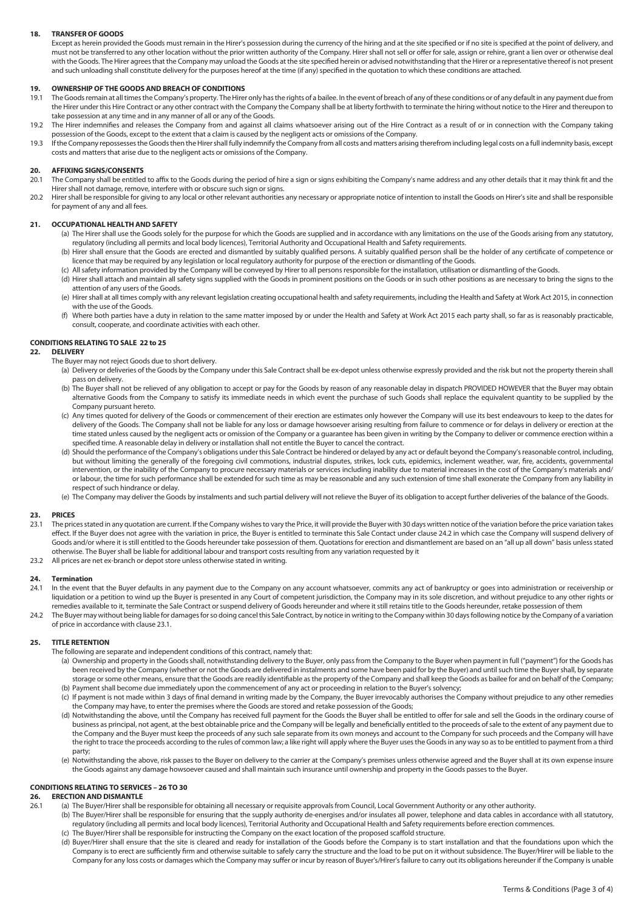# **18. TRANSFER OF GOODS**

Except as herein provided the Goods must remain in the Hirer's possession during the currency of the hiring and at the site specified or if no site is specified at the point of delivery, and must not be transferred to any other location without the prior written authority of the Company. Hirer shall not sell or offer for sale, assign or rehire, grant a lien over or otherwise deal with the Goods. The Hirer agrees that the Company may unload the Goods at the site specified herein or advised notwithstanding that the Hirer or a representative thereof is not present and such unloading shall constitute delivery for the purposes hereof at the time (if any) specified in the quotation to which these conditions are attached.

# **19. OWNERSHIP OF THE GOODS AND BREACH OF CONDITIONS**

- 19.1 The Goods remain at all times the Company's property. The Hirer only has the rights of a bailee. In the event of breach of any of these conditions or of any default in any payment due from the Hirer under this Hire Contract or any other contract with the Company the Company shall be at liberty forthwith to terminate the hiring without notice to the Hirer and thereupon to take possession at any time and in any manner of all or any of the Goods.
- 19.2 The Hirer indemnifies and releases the Company from and against all claims whatsoever arising out of the Hire Contract as a result of or in connection with the Company taking possession of the Goods, except to the extent that a claim is caused by the negligent acts or omissions of the Company.
- 19.3 If the Company repossesses the Goods then the Hirer shall fully indemnify the Company from all costs and matters arising therefrom including legal costs on a full indemnity basis, except costs and matters that arise due to the negligent acts or omissions of the Company.

# **20. AFFIXING SIGNS/CONSENTS**

- 20.1 The Company shall be entitled to affix to the Goods during the period of hire a sign or signs exhibiting the Company's name address and any other details that it may think fit and the Hirer shall not damage, remove, interfere with or obscure such sign or signs.
- 20.2 Hirer shall be responsible for giving to any local or other relevant authorities any necessary or appropriate notice of intention to install the Goods on Hirer's site and shall be responsible for payment of any and all fees.

#### **21. OCCUPATIONAL HEALTH AND SAFETY**

- (a) The Hirer shall use the Goods solely for the purpose for which the Goods are supplied and in accordance with any limitations on the use of the Goods arising from any statutory, regulatory (including all permits and local body licences), Territorial Authority and Occupational Health and Safety requirements.
- (b) Hirer shall ensure that the Goods are erected and dismantled by suitably qualified persons. A suitably qualified person shall be the holder of any certificate of competence or licence that may be required by any legislation or local regulatory authority for purpose of the erection or dismantling of the Goods.
- (c) All safety information provided by the Company will be conveyed by Hirer to all persons responsible for the installation, utilisation or dismantling of the Goods.
- (d) Hirer shall attach and maintain all safety signs supplied with the Goods in prominent positions on the Goods or in such other positions as are necessary to bring the signs to the attention of any users of the Goods.
- (e) Hirer shall at all times comply with any relevant legislation creating occupational health and safety requirements, including the Health and Safety at Work Act 2015, in connection with the use of the Goods.
- (f) Where both parties have a duty in relation to the same matter imposed by or under the Health and Safety at Work Act 2015 each party shall, so far as is reasonably practicable, consult, cooperate, and coordinate activities with each other.

# **CONDITIONS RELATING TO SALE 22 to 25**

# **22. DELIVERY**

- The Buyer may not reject Goods due to short delivery.
	- (a) Delivery or deliveries of the Goods by the Company under this Sale Contract shall be ex-depot unless otherwise expressly provided and the risk but not the property therein shall pass on delivery.
	- (b) The Buyer shall not be relieved of any obligation to accept or pay for the Goods by reason of any reasonable delay in dispatch PROVIDED HOWEVER that the Buyer may obtain alternative Goods from the Company to satisfy its immediate needs in which event the purchase of such Goods shall replace the equivalent quantity to be supplied by the Company pursuant hereto.
	- (c) Any times quoted for delivery of the Goods or commencement of their erection are estimates only however the Company will use its best endeavours to keep to the dates for delivery of the Goods. The Company shall not be liable for any loss or damage howsoever arising resulting from failure to commence or for delays in delivery or erection at the time stated unless caused by the negligent acts or omission of the Company or a guarantee has been given in writing by the Company to deliver or commence erection within a specified time. A reasonable delay in delivery or installation shall not entitle the Buyer to cancel the contract.
	- (d) Should the performance of the Company's obligations under this Sale Contract be hindered or delayed by any act or default beyond the Company's reasonable control, including, but without limiting the generally of the foregoing civil commotions, industrial disputes, strikes, lock cuts, epidemics, inclement weather, war, fire, accidents, governmental intervention, or the inability of the Company to procure necessary materials or services including inability due to material increases in the cost of the Company's materials and/ or labour, the time for such performance shall be extended for such time as may be reasonable and any such extension of time shall exonerate the Company from any liability in respect of such hindrance or delay.
	- (e) The Company may deliver the Goods by instalments and such partial delivery will not relieve the Buyer of its obligation to accept further deliveries of the balance of the Goods.

# 23. **PRICES**<br>23.1 The prior

- The prices stated in any quotation are current. If the Company wishes to vary the Price, it will provide the Buyer with 30 days written notice of the variation before the price variation takes effect. If the Buyer does not agree with the variation in price, the Buyer is entitled to terminate this Sale Contact under clause 24.2 in which case the Company will suspend delivery of Goods and/or where it is still entitled to the Goods hereunder take possession of them. Quotations for erection and dismantlement are based on an "all up all down" basis unless stated otherwise. The Buyer shall be liable for additional labour and transport costs resulting from any variation requested by it
- 23.2 All prices are net ex-branch or depot store unless otherwise stated in writing.

#### **24. Termination**

- 24.1 In the event that the Buyer defaults in any payment due to the Company on any account whatsoever, commits any act of bankruptcy or goes into administration or receivership or liquidation or a petition to wind up the Buyer is presented in any Court of competent jurisdiction, the Company may in its sole discretion, and without prejudice to any other rights or remedies available to it, terminate the Sale Contract or suspend delivery of Goods hereunder and where it still retains title to the Goods hereunder, retake possession of them
- 24.2 The Buyer may without being liable for damages for so doing cancel this Sale Contract, by notice in writing to the Company within 30 days following notice by the Company of a variation of price in accordance with clause 23.1.

# **25. TITLE RETENTION**

- The following are separate and independent conditions of this contract, namely that:
	- (a) Ownership and property in the Goods shall, notwithstanding delivery to the Buyer, only pass from the Company to the Buyer when payment in full ("payment") for the Goods has been received by the Company (whether or not the Goods are delivered in instalments and some have been paid for by the Buyer) and until such time the Buyer shall, by separate storage or some other means, ensure that the Goods are readily identifiable as the property of the Company and shall keep the Goods as bailee for and on behalf of the Company; (b) Payment shall become due immediately upon the commencement of any act or proceeding in relation to the Buyer's solvency;
	- (c) If payment is not made within 3 days of final demand in writing made by the Company, the Buyer irrevocably authorises the Company without prejudice to any other remedies the Company may have, to enter the premises where the Goods are stored and retake possession of the Goods;
	- (d) Notwithstanding the above, until the Company has received full payment for the Goods the Buyer shall be entitled to offer for sale and sell the Goods in the ordinary course of business as principal, not agent, at the best obtainable price and the Company will be legally and beneficially entitled to the proceeds of sale to the extent of any payment due to the Company and the Buyer must keep the proceeds of any such sale separate from its own moneys and account to the Company for such proceeds and the Company will have the right to trace the proceeds according to the rules of common law; a like right will apply where the Buyer uses the Goods in any way so as to be entitled to payment from a third party;
	- (e) Notwithstanding the above, risk passes to the Buyer on delivery to the carrier at the Company's premises unless otherwise agreed and the Buyer shall at its own expense insure the Goods against any damage howsoever caused and shall maintain such insurance until ownership and property in the Goods passes to the Buyer.

#### **CONDITIONS RELATING TO SERVICES – 26 TO 30**

# **26. ERECTION AND DISMANTLE**

- 26.1 (a) The Buyer/Hirer shall be responsible for obtaining all necessary or requisite approvals from Council, Local Government Authority or any other authority.
	- (b) The Buyer/Hirer shall be responsible for ensuring that the supply authority de-energises and/or insulates all power, telephone and data cables in accordance with all statutory, regulatory (including all permits and local body licences), Territorial Authority and Occupational Health and Safety requirements before erection commences.
	- (c) The Buyer/Hirer shall be responsible for instructing the Company on the exact location of the proposed scaffold structure.
	- (d) Buyer/Hirer shall ensure that the site is cleared and ready for installation of the Goods before the Company is to start installation and that the foundations upon which the Company is to erect are sufficiently firm and otherwise suitable to safely carry the structure and the load to be put on it without subsidence. The Buyer/Hirer will be liable to the Company for any loss costs or damages which the Company may suffer or incur by reason of Buyer's/Hirer's failure to carry out its obligations hereunder if the Company is unable